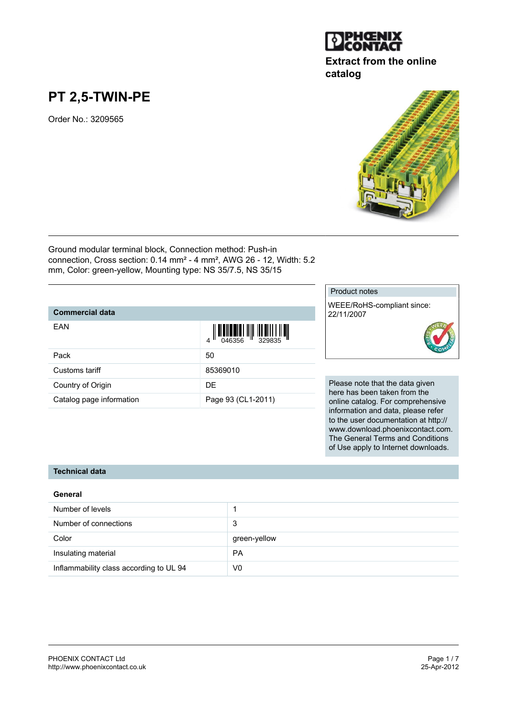

## **Extract from the online catalog**

# **PT 2,5-TWIN-PE**

Order No.: 3209565



Ground modular terminal block, Connection method: Push-in connection, Cross section: 0.14 mm² - 4 mm², AWG 26 - 12, Width: 5.2 mm, Color: green-yellow, Mounting type: NS 35/7.5, NS 35/15

### **Commercial data**

| EAN                      | $\begin{array}{c} \begin{array}{c} \begin{array}{c} \end{array}\\ \begin{array}{c} \end{array}\\ \begin{array}{c} \end{array}\\ \begin{array}{c} \end{array}\\ \begin{array}{c} \end{array}\\ \begin{array}{c} \end{array}\\ \begin{array}{c} \end{array}\\ \begin{array}{c} \end{array}\\ \begin{array}{c} \end{array}\\ \begin{array}{c} \end{array}\\ \begin{array}{c} \end{array}\\ \begin{array}{c} \end{array}\\ \begin{array}{c} \end{array}\\ \begin{array}{c} \end{array}\\ \begin{array}{c} \end{array}\\ \begin{array}{c} \end{array}\\ \begin{array}{c} \end{array}\\ \begin$ |
|--------------------------|-------------------------------------------------------------------------------------------------------------------------------------------------------------------------------------------------------------------------------------------------------------------------------------------------------------------------------------------------------------------------------------------------------------------------------------------------------------------------------------------------------------------------------------------------------------------------------------------|
| Pack                     | 50                                                                                                                                                                                                                                                                                                                                                                                                                                                                                                                                                                                        |
| Customs tariff           | 85369010                                                                                                                                                                                                                                                                                                                                                                                                                                                                                                                                                                                  |
| Country of Origin        | DE.                                                                                                                                                                                                                                                                                                                                                                                                                                                                                                                                                                                       |
| Catalog page information | Page 93 (CL1-2011)                                                                                                                                                                                                                                                                                                                                                                                                                                                                                                                                                                        |

#### Product notes

WEEE/RoHS-compliant since: 22/11/2007



Please note that the data given here has been taken from the online catalog. For comprehensive information and data, please refer to the user documentation at http:// www.download.phoenixcontact.com. The General Terms and Conditions of Use apply to Internet downloads.

#### **Technical data**

| General                                 |              |  |
|-----------------------------------------|--------------|--|
| Number of levels                        |              |  |
| Number of connections                   | 3            |  |
| Color                                   | green-yellow |  |
| Insulating material                     | <b>PA</b>    |  |
| Inflammability class according to UL 94 | V0           |  |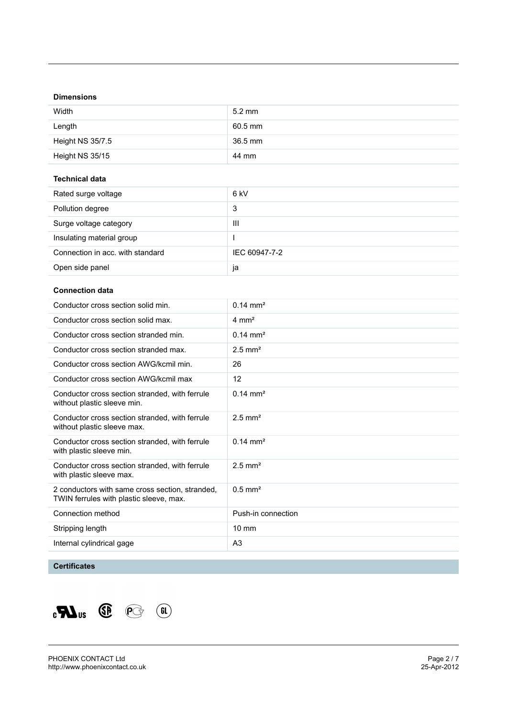#### **Dimensions**

| Width            | $5.2 \text{ mm}$ |
|------------------|------------------|
| Length           | 60.5 mm          |
| Height NS 35/7.5 | 36.5 mm          |
| Height NS 35/15  | 44 mm            |

#### **Technical data**

| Rated surge voltage              | 6 kV          |
|----------------------------------|---------------|
| Pollution degree                 | 3             |
| Surge voltage category           | Ш             |
| Insulating material group        |               |
| Connection in acc. with standard | IEC 60947-7-2 |
| Open side panel                  | Ja            |

#### **Connection data**

| Conductor cross section solid min.                                                         | $0.14 \text{ mm}^2$   |
|--------------------------------------------------------------------------------------------|-----------------------|
| Conductor cross section solid max.                                                         | $4 \text{ mm}^2$      |
| Conductor cross section stranded min.                                                      | $0.14 \text{ mm}^2$   |
| Conductor cross section stranded max.                                                      | $2.5$ mm <sup>2</sup> |
| Conductor cross section AWG/kcmil min.                                                     | 26                    |
| Conductor cross section AWG/kcmil max                                                      | 12                    |
| Conductor cross section stranded, with ferrule<br>without plastic sleeve min.              | $0.14 \text{ mm}^2$   |
| Conductor cross section stranded, with ferrule<br>without plastic sleeve max.              | $2.5$ mm <sup>2</sup> |
| Conductor cross section stranded, with ferrule<br>with plastic sleeve min.                 | $0.14 \text{ mm}^2$   |
| Conductor cross section stranded, with ferrule<br>with plastic sleeve max.                 | $2.5$ mm <sup>2</sup> |
| 2 conductors with same cross section, stranded,<br>TWIN ferrules with plastic sleeve, max. | $0.5$ mm <sup>2</sup> |
| Connection method                                                                          | Push-in connection    |
| Stripping length                                                                           | $10 \text{ mm}$       |
| Internal cylindrical gage                                                                  | A <sub>3</sub>        |
|                                                                                            |                       |

### **Certificates**

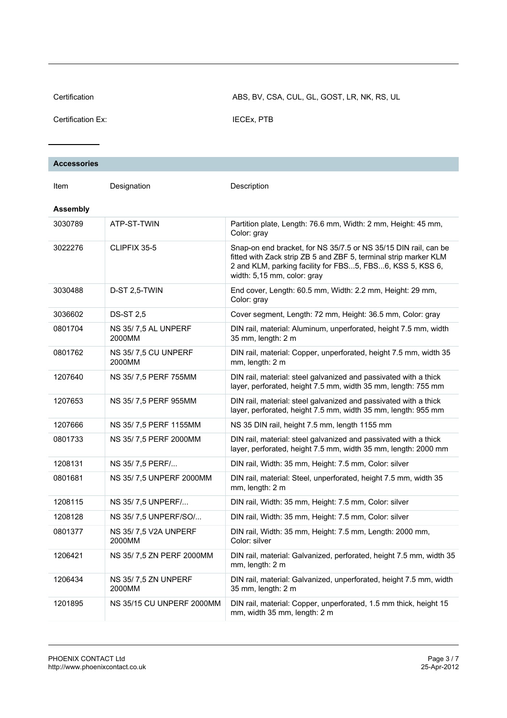Certification ABS, BV, CSA, CUL, GL, GOST, LR, NK, RS, UL

Certification Ex: **IECEX, PTB** 

| <b>Accessories</b> |  |  |
|--------------------|--|--|
|                    |  |  |
|                    |  |  |

| <b>Assembly</b><br>3030789<br>ATP-ST-TWIN<br>Partition plate, Length: 76.6 mm, Width: 2 mm, Height: 45 mm,<br>Color: gray<br>3022276<br>CLIPFIX 35-5<br>Snap-on end bracket, for NS 35/7.5 or NS 35/15 DIN rail, can be<br>fitted with Zack strip ZB 5 and ZBF 5, terminal strip marker KLM<br>2 and KLM, parking facility for FBS5, FBS6, KSS 5, KSS 6,<br>width: 5,15 mm, color: gray<br>D-ST 2,5-TWIN<br>3030488<br>End cover, Length: 60.5 mm, Width: 2.2 mm, Height: 29 mm,<br>Color: gray<br><b>DS-ST 2,5</b><br>3036602<br>Cover segment, Length: 72 mm, Height: 36.5 mm, Color: gray<br>0801704<br>NS 35/7,5 AL UNPERF<br>DIN rail, material: Aluminum, unperforated, height 7.5 mm, width<br>2000MM<br>35 mm, length: 2 m<br>NS 35/7,5 CU UNPERF<br>0801762<br>DIN rail, material: Copper, unperforated, height 7.5 mm, width 35<br>2000MM<br>mm, length: 2 m<br>1207640<br>NS 35/7,5 PERF 755MM<br>DIN rail, material: steel galvanized and passivated with a thick<br>layer, perforated, height 7.5 mm, width 35 mm, length: 755 mm<br>NS 35/7,5 PERF 955MM<br>1207653<br>DIN rail, material: steel galvanized and passivated with a thick<br>layer, perforated, height 7.5 mm, width 35 mm, length: 955 mm<br>1207666<br>NS 35/7,5 PERF 1155MM<br>NS 35 DIN rail, height 7.5 mm, length 1155 mm<br>0801733<br>NS 35/7,5 PERF 2000MM<br>DIN rail, material: steel galvanized and passivated with a thick<br>layer, perforated, height 7.5 mm, width 35 mm, length: 2000 mm<br>1208131<br>NS 35/7,5 PERF/<br>DIN rail, Width: 35 mm, Height: 7.5 mm, Color: silver<br>0801681<br>NS 35/7,5 UNPERF 2000MM<br>DIN rail, material: Steel, unperforated, height 7.5 mm, width 35<br>mm, length: 2 m<br>1208115<br>NS 35/7,5 UNPERF/<br>DIN rail, Width: 35 mm, Height: 7.5 mm, Color: silver<br>1208128<br>NS 35/7,5 UNPERF/SO/<br>DIN rail, Width: 35 mm, Height: 7.5 mm, Color: silver<br>0801377<br>NS 35/7,5 V2A UNPERF<br>DIN rail, Width: 35 mm, Height: 7.5 mm, Length: 2000 mm,<br>2000MM<br>Color: silver<br>1206421<br>NS 35/7,5 ZN PERF 2000MM<br>DIN rail, material: Galvanized, perforated, height 7.5 mm, width 35<br>mm, length: 2 m<br>1206434<br>NS 35/7,5 ZN UNPERF<br>DIN rail, material: Galvanized, unperforated, height 7.5 mm, width<br>2000MM<br>35 mm, length: 2 m<br>1201895<br>NS 35/15 CU UNPERF 2000MM<br>DIN rail, material: Copper, unperforated, 1.5 mm thick, height 15<br>mm, width 35 mm, length: 2 m | Item | Designation | Description |
|------------------------------------------------------------------------------------------------------------------------------------------------------------------------------------------------------------------------------------------------------------------------------------------------------------------------------------------------------------------------------------------------------------------------------------------------------------------------------------------------------------------------------------------------------------------------------------------------------------------------------------------------------------------------------------------------------------------------------------------------------------------------------------------------------------------------------------------------------------------------------------------------------------------------------------------------------------------------------------------------------------------------------------------------------------------------------------------------------------------------------------------------------------------------------------------------------------------------------------------------------------------------------------------------------------------------------------------------------------------------------------------------------------------------------------------------------------------------------------------------------------------------------------------------------------------------------------------------------------------------------------------------------------------------------------------------------------------------------------------------------------------------------------------------------------------------------------------------------------------------------------------------------------------------------------------------------------------------------------------------------------------------------------------------------------------------------------------------------------------------------------------------------------------------------------------------------------------------------------------------------------------------------------------------------------------------------------------------------------------------------------------------------------------------------------------------|------|-------------|-------------|
|                                                                                                                                                                                                                                                                                                                                                                                                                                                                                                                                                                                                                                                                                                                                                                                                                                                                                                                                                                                                                                                                                                                                                                                                                                                                                                                                                                                                                                                                                                                                                                                                                                                                                                                                                                                                                                                                                                                                                                                                                                                                                                                                                                                                                                                                                                                                                                                                                                                |      |             |             |
|                                                                                                                                                                                                                                                                                                                                                                                                                                                                                                                                                                                                                                                                                                                                                                                                                                                                                                                                                                                                                                                                                                                                                                                                                                                                                                                                                                                                                                                                                                                                                                                                                                                                                                                                                                                                                                                                                                                                                                                                                                                                                                                                                                                                                                                                                                                                                                                                                                                |      |             |             |
|                                                                                                                                                                                                                                                                                                                                                                                                                                                                                                                                                                                                                                                                                                                                                                                                                                                                                                                                                                                                                                                                                                                                                                                                                                                                                                                                                                                                                                                                                                                                                                                                                                                                                                                                                                                                                                                                                                                                                                                                                                                                                                                                                                                                                                                                                                                                                                                                                                                |      |             |             |
|                                                                                                                                                                                                                                                                                                                                                                                                                                                                                                                                                                                                                                                                                                                                                                                                                                                                                                                                                                                                                                                                                                                                                                                                                                                                                                                                                                                                                                                                                                                                                                                                                                                                                                                                                                                                                                                                                                                                                                                                                                                                                                                                                                                                                                                                                                                                                                                                                                                |      |             |             |
|                                                                                                                                                                                                                                                                                                                                                                                                                                                                                                                                                                                                                                                                                                                                                                                                                                                                                                                                                                                                                                                                                                                                                                                                                                                                                                                                                                                                                                                                                                                                                                                                                                                                                                                                                                                                                                                                                                                                                                                                                                                                                                                                                                                                                                                                                                                                                                                                                                                |      |             |             |
|                                                                                                                                                                                                                                                                                                                                                                                                                                                                                                                                                                                                                                                                                                                                                                                                                                                                                                                                                                                                                                                                                                                                                                                                                                                                                                                                                                                                                                                                                                                                                                                                                                                                                                                                                                                                                                                                                                                                                                                                                                                                                                                                                                                                                                                                                                                                                                                                                                                |      |             |             |
|                                                                                                                                                                                                                                                                                                                                                                                                                                                                                                                                                                                                                                                                                                                                                                                                                                                                                                                                                                                                                                                                                                                                                                                                                                                                                                                                                                                                                                                                                                                                                                                                                                                                                                                                                                                                                                                                                                                                                                                                                                                                                                                                                                                                                                                                                                                                                                                                                                                |      |             |             |
|                                                                                                                                                                                                                                                                                                                                                                                                                                                                                                                                                                                                                                                                                                                                                                                                                                                                                                                                                                                                                                                                                                                                                                                                                                                                                                                                                                                                                                                                                                                                                                                                                                                                                                                                                                                                                                                                                                                                                                                                                                                                                                                                                                                                                                                                                                                                                                                                                                                |      |             |             |
|                                                                                                                                                                                                                                                                                                                                                                                                                                                                                                                                                                                                                                                                                                                                                                                                                                                                                                                                                                                                                                                                                                                                                                                                                                                                                                                                                                                                                                                                                                                                                                                                                                                                                                                                                                                                                                                                                                                                                                                                                                                                                                                                                                                                                                                                                                                                                                                                                                                |      |             |             |
|                                                                                                                                                                                                                                                                                                                                                                                                                                                                                                                                                                                                                                                                                                                                                                                                                                                                                                                                                                                                                                                                                                                                                                                                                                                                                                                                                                                                                                                                                                                                                                                                                                                                                                                                                                                                                                                                                                                                                                                                                                                                                                                                                                                                                                                                                                                                                                                                                                                |      |             |             |
|                                                                                                                                                                                                                                                                                                                                                                                                                                                                                                                                                                                                                                                                                                                                                                                                                                                                                                                                                                                                                                                                                                                                                                                                                                                                                                                                                                                                                                                                                                                                                                                                                                                                                                                                                                                                                                                                                                                                                                                                                                                                                                                                                                                                                                                                                                                                                                                                                                                |      |             |             |
|                                                                                                                                                                                                                                                                                                                                                                                                                                                                                                                                                                                                                                                                                                                                                                                                                                                                                                                                                                                                                                                                                                                                                                                                                                                                                                                                                                                                                                                                                                                                                                                                                                                                                                                                                                                                                                                                                                                                                                                                                                                                                                                                                                                                                                                                                                                                                                                                                                                |      |             |             |
|                                                                                                                                                                                                                                                                                                                                                                                                                                                                                                                                                                                                                                                                                                                                                                                                                                                                                                                                                                                                                                                                                                                                                                                                                                                                                                                                                                                                                                                                                                                                                                                                                                                                                                                                                                                                                                                                                                                                                                                                                                                                                                                                                                                                                                                                                                                                                                                                                                                |      |             |             |
|                                                                                                                                                                                                                                                                                                                                                                                                                                                                                                                                                                                                                                                                                                                                                                                                                                                                                                                                                                                                                                                                                                                                                                                                                                                                                                                                                                                                                                                                                                                                                                                                                                                                                                                                                                                                                                                                                                                                                                                                                                                                                                                                                                                                                                                                                                                                                                                                                                                |      |             |             |
|                                                                                                                                                                                                                                                                                                                                                                                                                                                                                                                                                                                                                                                                                                                                                                                                                                                                                                                                                                                                                                                                                                                                                                                                                                                                                                                                                                                                                                                                                                                                                                                                                                                                                                                                                                                                                                                                                                                                                                                                                                                                                                                                                                                                                                                                                                                                                                                                                                                |      |             |             |
|                                                                                                                                                                                                                                                                                                                                                                                                                                                                                                                                                                                                                                                                                                                                                                                                                                                                                                                                                                                                                                                                                                                                                                                                                                                                                                                                                                                                                                                                                                                                                                                                                                                                                                                                                                                                                                                                                                                                                                                                                                                                                                                                                                                                                                                                                                                                                                                                                                                |      |             |             |
|                                                                                                                                                                                                                                                                                                                                                                                                                                                                                                                                                                                                                                                                                                                                                                                                                                                                                                                                                                                                                                                                                                                                                                                                                                                                                                                                                                                                                                                                                                                                                                                                                                                                                                                                                                                                                                                                                                                                                                                                                                                                                                                                                                                                                                                                                                                                                                                                                                                |      |             |             |
|                                                                                                                                                                                                                                                                                                                                                                                                                                                                                                                                                                                                                                                                                                                                                                                                                                                                                                                                                                                                                                                                                                                                                                                                                                                                                                                                                                                                                                                                                                                                                                                                                                                                                                                                                                                                                                                                                                                                                                                                                                                                                                                                                                                                                                                                                                                                                                                                                                                |      |             |             |
|                                                                                                                                                                                                                                                                                                                                                                                                                                                                                                                                                                                                                                                                                                                                                                                                                                                                                                                                                                                                                                                                                                                                                                                                                                                                                                                                                                                                                                                                                                                                                                                                                                                                                                                                                                                                                                                                                                                                                                                                                                                                                                                                                                                                                                                                                                                                                                                                                                                |      |             |             |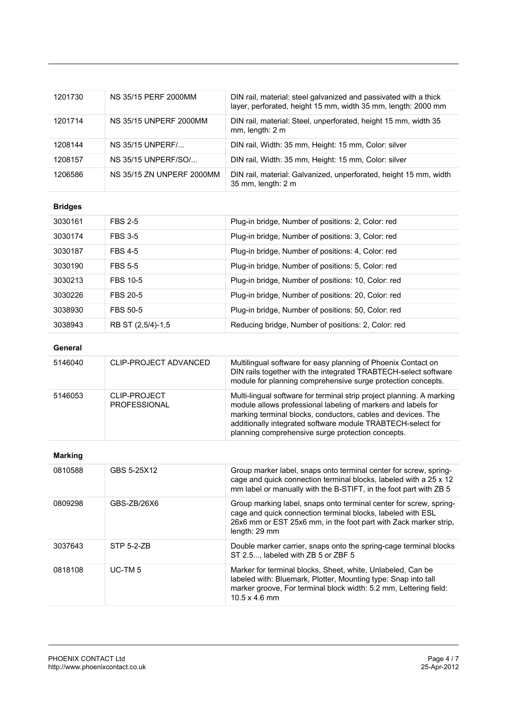| 1201730        | NS 35/15 PERF 2000MM                       | DIN rail, material: steel galvanized and passivated with a thick<br>layer, perforated, height 15 mm, width 35 mm, length: 2000 mm                                                                                                                                                                                          |
|----------------|--------------------------------------------|----------------------------------------------------------------------------------------------------------------------------------------------------------------------------------------------------------------------------------------------------------------------------------------------------------------------------|
| 1201714        | <b>NS 35/15 UNPERF 2000MM</b>              | DIN rail, material: Steel, unperforated, height 15 mm, width 35<br>mm, length: 2 m                                                                                                                                                                                                                                         |
| 1208144        | NS 35/15 UNPERF/                           | DIN rail, Width: 35 mm, Height: 15 mm, Color: silver                                                                                                                                                                                                                                                                       |
| 1208157        | NS 35/15 UNPERF/SO/                        | DIN rail, Width: 35 mm, Height: 15 mm, Color: silver                                                                                                                                                                                                                                                                       |
| 1206586        | <b>NS 35/15 ZN UNPERF 2000MM</b>           | DIN rail, material: Galvanized, unperforated, height 15 mm, width<br>35 mm, length: 2 m                                                                                                                                                                                                                                    |
| <b>Bridges</b> |                                            |                                                                                                                                                                                                                                                                                                                            |
| 3030161        | <b>FBS 2-5</b>                             | Plug-in bridge, Number of positions: 2, Color: red                                                                                                                                                                                                                                                                         |
| 3030174        | <b>FBS 3-5</b>                             | Plug-in bridge, Number of positions: 3, Color: red                                                                                                                                                                                                                                                                         |
| 3030187        | <b>FBS 4-5</b>                             | Plug-in bridge, Number of positions: 4, Color: red                                                                                                                                                                                                                                                                         |
| 3030190        | <b>FBS 5-5</b>                             | Plug-in bridge, Number of positions: 5, Color: red                                                                                                                                                                                                                                                                         |
| 3030213        | <b>FBS 10-5</b>                            | Plug-in bridge, Number of positions: 10, Color: red                                                                                                                                                                                                                                                                        |
| 3030226        | <b>FBS 20-5</b>                            | Plug-in bridge, Number of positions: 20, Color: red                                                                                                                                                                                                                                                                        |
| 3038930        | <b>FBS 50-5</b>                            | Plug-in bridge, Number of positions: 50, Color: red                                                                                                                                                                                                                                                                        |
| 3038943        | RB ST (2,5/4)-1,5                          | Reducing bridge, Number of positions: 2, Color: red                                                                                                                                                                                                                                                                        |
| General        |                                            |                                                                                                                                                                                                                                                                                                                            |
| 5146040        | CLIP-PROJECT ADVANCED                      | Multilingual software for easy planning of Phoenix Contact on<br>DIN rails together with the integrated TRABTECH-select software<br>module for planning comprehensive surge protection concepts.                                                                                                                           |
| 5146053        | <b>CLIP-PROJECT</b><br><b>PROFESSIONAL</b> | Multi-lingual software for terminal strip project planning. A marking<br>module allows professional labeling of markers and labels for<br>marking terminal blocks, conductors, cables and devices. The<br>additionally integrated software module TRABTECH-select for<br>planning comprehensive surge protection concepts. |
| <b>Marking</b> |                                            |                                                                                                                                                                                                                                                                                                                            |
| 0810588        | GBS 5-25X12                                | Group marker label, snaps onto terminal center for screw, spring-<br>cage and quick connection terminal blocks, labeled with a 25 x 12<br>mm label or manually with the B-STIFT, in the foot part with ZB 5                                                                                                                |
| 0809298        | GBS-ZB/26X6                                | Group marking label, snaps onto terminal center for screw, spring-<br>cage and quick connection terminal blocks, labeled with ESL<br>26x6 mm or EST 25x6 mm, in the foot part with Zack marker strip,<br>length: 29 mm                                                                                                     |
| 3037643        | <b>STP 5-2-ZB</b>                          | Double marker carrier, snaps onto the spring-cage terminal blocks<br>ST 2.5, labeled with ZB 5 or ZBF 5                                                                                                                                                                                                                    |
| 0818108        | UC-TM <sub>5</sub>                         | Marker for terminal blocks, Sheet, white, Unlabeled, Can be<br>labeled with: Bluemark, Plotter, Mounting type: Snap into tall<br>marker groove, For terminal block width: 5.2 mm, Lettering field:<br>10.5 x 4.6 mm                                                                                                        |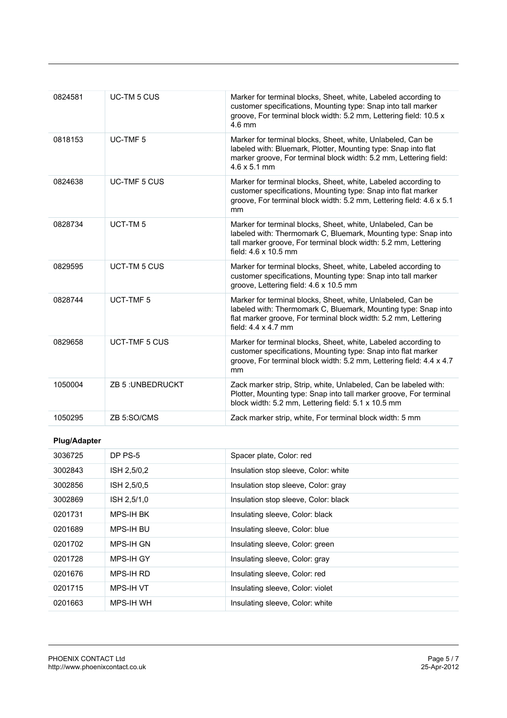| 0824581             | <b>UC-TM 5 CUS</b>   | Marker for terminal blocks, Sheet, white, Labeled according to<br>customer specifications, Mounting type: Snap into tall marker<br>groove, For terminal block width: 5.2 mm, Lettering field: 10.5 x<br>$4.6 \text{ mm}$          |  |
|---------------------|----------------------|-----------------------------------------------------------------------------------------------------------------------------------------------------------------------------------------------------------------------------------|--|
| 0818153             | UC-TMF <sub>5</sub>  | Marker for terminal blocks, Sheet, white, Unlabeled, Can be<br>labeled with: Bluemark, Plotter, Mounting type: Snap into flat<br>marker groove, For terminal block width: 5.2 mm, Lettering field:<br>$4.6 \times 5.1 \text{ mm}$ |  |
| 0824638             | <b>UC-TMF 5 CUS</b>  | Marker for terminal blocks, Sheet, white, Labeled according to<br>customer specifications, Mounting type: Snap into flat marker<br>groove, For terminal block width: 5.2 mm, Lettering field: 4.6 x 5.1<br>mm                     |  |
| 0828734             | UCT-TM <sub>5</sub>  | Marker for terminal blocks, Sheet, white, Unlabeled, Can be<br>labeled with: Thermomark C, Bluemark, Mounting type: Snap into<br>tall marker groove, For terminal block width: 5.2 mm, Lettering<br>field: 4.6 x 10.5 mm          |  |
| 0829595             | <b>UCT-TM 5 CUS</b>  | Marker for terminal blocks, Sheet, white, Labeled according to<br>customer specifications, Mounting type: Snap into tall marker<br>groove, Lettering field: 4.6 x 10.5 mm                                                         |  |
| 0828744             | <b>UCT-TMF5</b>      | Marker for terminal blocks, Sheet, white, Unlabeled, Can be<br>labeled with: Thermomark C, Bluemark, Mounting type: Snap into<br>flat marker groove, For terminal block width: 5.2 mm, Lettering<br>field: $4.4 \times 4.7$ mm    |  |
| 0829658             | <b>UCT-TMF 5 CUS</b> | Marker for terminal blocks, Sheet, white, Labeled according to<br>customer specifications, Mounting type: Snap into flat marker<br>groove, For terminal block width: 5.2 mm, Lettering field: 4.4 x 4.7<br>mm                     |  |
| 1050004             | ZB 5: UNBEDRUCKT     | Zack marker strip, Strip, white, Unlabeled, Can be labeled with:<br>Plotter, Mounting type: Snap into tall marker groove, For terminal<br>block width: 5.2 mm, Lettering field: 5.1 x 10.5 mm                                     |  |
| 1050295             | ZB 5:SO/CMS          | Zack marker strip, white, For terminal block width: 5 mm                                                                                                                                                                          |  |
| <b>Plug/Adapter</b> |                      |                                                                                                                                                                                                                                   |  |
| 3036725             | DP PS-5              | Spacer plate, Color: red                                                                                                                                                                                                          |  |
| 3002843             | ISH 2,5/0,2          | Insulation stop sleeve, Color: white                                                                                                                                                                                              |  |
| 3002856             | ISH 2,5/0,5          | Insulation stop sleeve, Color: gray                                                                                                                                                                                               |  |
| 3002869             | ISH 2,5/1,0          | Insulation stop sleeve, Color: black                                                                                                                                                                                              |  |
| 0201731             | MPS-IH BK            | Insulating sleeve, Color: black                                                                                                                                                                                                   |  |
| 0201689             | MPS-IH BU            | Insulating sleeve, Color: blue                                                                                                                                                                                                    |  |
| 0201702             | MPS-IH GN            | Insulating sleeve, Color: green                                                                                                                                                                                                   |  |
| 0201728             | MPS-IH GY            | Insulating sleeve, Color: gray                                                                                                                                                                                                    |  |
| 0201676             | MPS-IH RD            | Insulating sleeve, Color: red                                                                                                                                                                                                     |  |
| 0201715             | MPS-IH VT            | Insulating sleeve, Color: violet                                                                                                                                                                                                  |  |
| 0201663             | MPS-IH WH            | Insulating sleeve, Color: white                                                                                                                                                                                                   |  |